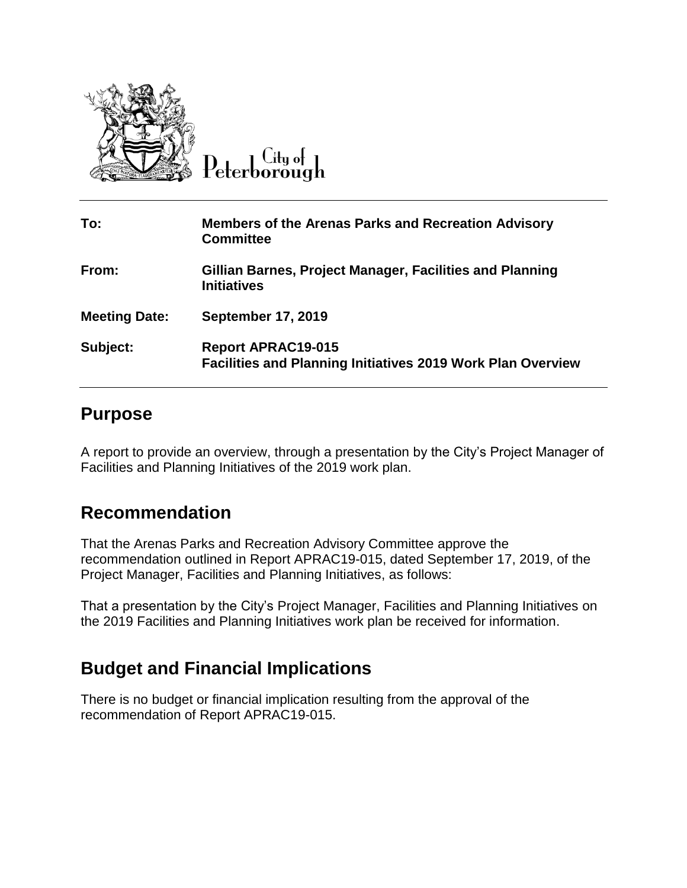

Peterborough

| To:                  | <b>Members of the Arenas Parks and Recreation Advisory</b><br><b>Committee</b>                  |
|----------------------|-------------------------------------------------------------------------------------------------|
| From:                | Gillian Barnes, Project Manager, Facilities and Planning<br><b>Initiatives</b>                  |
| <b>Meeting Date:</b> | <b>September 17, 2019</b>                                                                       |
| Subject:             | <b>Report APRAC19-015</b><br><b>Facilities and Planning Initiatives 2019 Work Plan Overview</b> |

## **Purpose**

A report to provide an overview, through a presentation by the City's Project Manager of Facilities and Planning Initiatives of the 2019 work plan.

## **Recommendation**

That the Arenas Parks and Recreation Advisory Committee approve the recommendation outlined in Report APRAC19-015, dated September 17, 2019, of the Project Manager, Facilities and Planning Initiatives, as follows:

That a presentation by the City's Project Manager, Facilities and Planning Initiatives on the 2019 Facilities and Planning Initiatives work plan be received for information.

## **Budget and Financial Implications**

There is no budget or financial implication resulting from the approval of the recommendation of Report APRAC19-015.